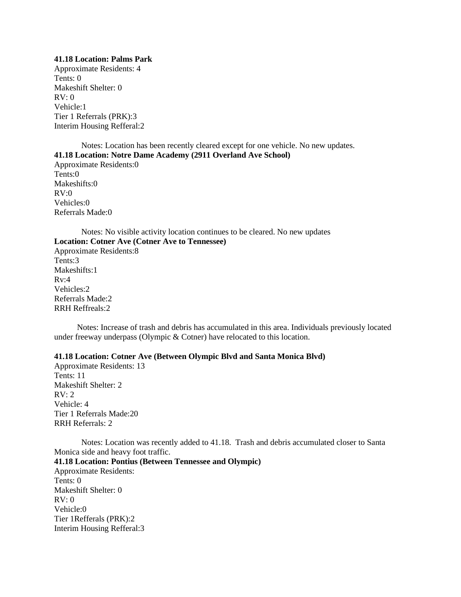#### **41.18 Location: Palms Park**

Approximate Residents: 4 Tents: 0 Makeshift Shelter: 0  $RV: 0$ Vehicle:1 Tier 1 Referrals (PRK):3 Interim Housing Refferal:2

Notes: Location has been recently cleared except for one vehicle. No new updates. **41.18 Location: Notre Dame Academy (2911 Overland Ave School)** Approximate Residents:0 Tents:0 Makeshifts:0  $RV:0$ Vehicles:0 Referrals Made:0

Notes: No visible activity location continues to be cleared. No new updates **Location: Cotner Ave (Cotner Ave to Tennessee)** Approximate Residents:8 Tents:3 Makeshifts:1  $Rv:4$ Vehicles:2 Referrals Made:2 RRH Reffreals:2

 Notes: Increase of trash and debris has accumulated in this area. Individuals previously located under freeway underpass (Olympic & Cotner) have relocated to this location.

# **41.18 Location: Cotner Ave (Between Olympic Blvd and Santa Monica Blvd)**

Approximate Residents: 13 Tents: 11 Makeshift Shelter: 2  $RV: 2$ Vehicle: 4 Tier 1 Referrals Made:20 RRH Referrals: 2

Notes: Location was recently added to 41.18. Trash and debris accumulated closer to Santa Monica side and heavy foot traffic.

**41.18 Location: Pontius (Between Tennessee and Olympic)** 

Approximate Residents: Tents: 0 Makeshift Shelter: 0  $RV: 0$ Vehicle:0 Tier 1Refferals (PRK):2 Interim Housing Refferal:3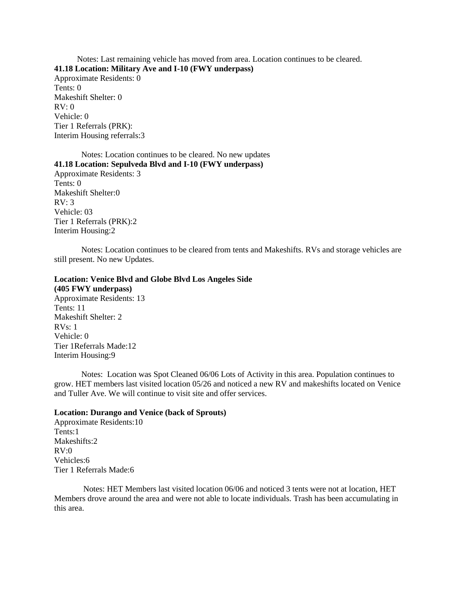Notes: Last remaining vehicle has moved from area. Location continues to be cleared. **41.18 Location: Military Ave and I-10 (FWY underpass)** Approximate Residents: 0 Tents: 0 Makeshift Shelter: 0  $RV: 0$ Vehicle: 0 Tier 1 Referrals (PRK): Interim Housing referrals:3

Notes: Location continues to be cleared. No new updates **41.18 Location: Sepulveda Blvd and I-10 (FWY underpass)** Approximate Residents: 3 Tents: 0 Makeshift Shelter:0 RV: 3 Vehicle: 03 Tier 1 Referrals (PRK):2 Interim Housing:2

Notes: Location continues to be cleared from tents and Makeshifts. RVs and storage vehicles are still present. No new Updates.

# **Location: Venice Blvd and Globe Blvd Los Angeles Side**

**(405 FWY underpass)** Approximate Residents: 13 Tents: 11 Makeshift Shelter: 2 RVs: 1 Vehicle: 0 Tier 1Referrals Made:12 Interim Housing:9

Notes: Location was Spot Cleaned 06/06 Lots of Activity in this area. Population continues to grow. HET members last visited location 05/26 and noticed a new RV and makeshifts located on Venice and Tuller Ave. We will continue to visit site and offer services.

#### **Location: Durango and Venice (back of Sprouts)**

Approximate Residents:10 Tents:1 Makeshifts:2  $RV:0$ Vehicles:6 Tier 1 Referrals Made:6

 Notes: HET Members last visited location 06/06 and noticed 3 tents were not at location, HET Members drove around the area and were not able to locate individuals. Trash has been accumulating in this area.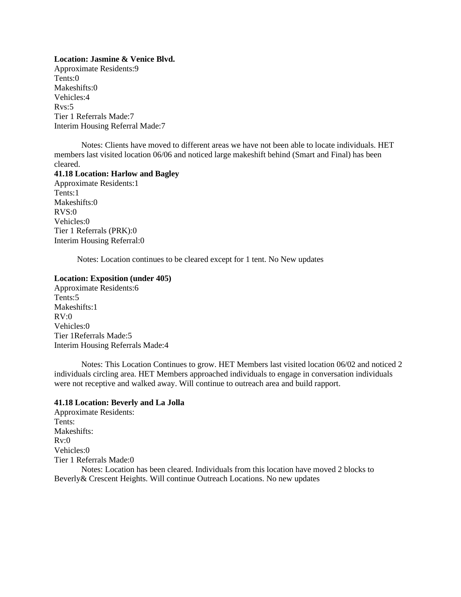#### **Location: Jasmine & Venice Blvd.**

Approximate Residents:9 Tents:0 Makeshifts:0 Vehicles:4 Rvs:5 Tier 1 Referrals Made:7 Interim Housing Referral Made:7

Notes: Clients have moved to different areas we have not been able to locate individuals. HET members last visited location 06/06 and noticed large makeshift behind (Smart and Final) has been cleared.

## **41.18 Location: Harlow and Bagley**

Approximate Residents:1 Tents:1 Makeshifts:0 RVS:0 Vehicles:0 Tier 1 Referrals (PRK):0 Interim Housing Referral:0

Notes: Location continues to be cleared except for 1 tent. No New updates

#### **Location: Exposition (under 405)**

Approximate Residents:6 Tents:5 Makeshifts:1  $RV:0$ Vehicles:0 Tier 1Referrals Made:5 Interim Housing Referrals Made:4

Notes: This Location Continues to grow. HET Members last visited location 06/02 and noticed 2 individuals circling area. HET Members approached individuals to engage in conversation individuals were not receptive and walked away. Will continue to outreach area and build rapport.

# **41.18 Location: Beverly and La Jolla**

Approximate Residents: Tents: Makeshifts:  $Rv:0$ Vehicles:0 Tier 1 Referrals Made:0 Notes: Location has been cleared. Individuals from this location have moved 2 blocks to Beverly& Crescent Heights. Will continue Outreach Locations. No new updates